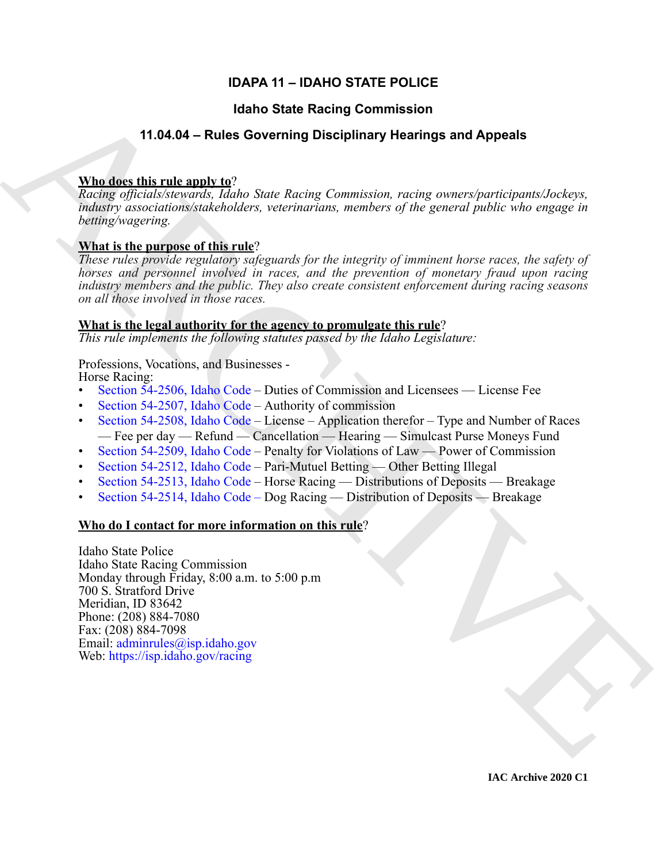# **IDAPA 11 – IDAHO STATE POLICE**

# **Idaho State Racing Commission**

# **11.04.04 – Rules Governing Disciplinary Hearings and Appeals**

# **Who does this rule apply to**?

*Racing officials/stewards, Idaho State Racing Commission, racing owners/participants/Jockeys, industry associations/stakeholders, veterinarians, members of the general public who engage in betting/wagering.*

# **What is the purpose of this rule**?

*These rules provide regulatory safeguards for the integrity of imminent horse races, the safety of horses and personnel involved in races, and the prevention of monetary fraud upon racing industry members and the public. They also create consistent enforcement during racing seasons on all those involved in those races.* 

# **What is the legal authority for the agency to promulgate this rule**?

*This rule implements the following statutes passed by the Idaho Legislature:*

# Professions, Vocations, and Businesses -

Horse Racing:

- Section 54-2506, Idaho Code Duties of Commission and Licensees License Fee
- Section 54-2507, Idaho Code Authority of commission
- Section 54-2508, Idaho Code License Application therefor Type and Number of Races — Fee per day — Refund — Cancellation — Hearing — Simulcast Purse Moneys Fund
- Section 54-2509, Idaho Code Penalty for Violations of Law Power of Commission
- Section 54-2512, Idaho Code Pari-Mutuel Betting Other Betting Illegal
- Section 54-2513, Idaho Code Horse Racing Distributions of Deposits Breakage
- Section 54-2514, Idaho Code Dog Racing Distribution of Deposits Breakage

# **Who do I contact for more information on this rule**?

**14.04.04 Finding [C](https://legislature.idaho.gov/statutesrules/idstat/Title54/T54CH25/SECT54-2506/)ommission**<br> **14.04.04 Finding Commission**<br> **14.04.04 Finding Commission**<br> **Maddet this relation and Appeals**<br> **Maddet this relation and Appeals**<br> **ARCHI[VE](mailto: adminrules@isp.idaho.gov) COMMISSION**  $\hat{R}$  and  $\hat{R}$  and  $\hat{R}$  and Idaho State Police Idaho State Racing Commission Monday through Friday, 8:00 a.m. to 5:00 p.m 700 S. Stratford Drive Meridian, ID 83642 Phone: (208) 884-7080 Fax: (208) 884-7098 Email: adminrules@isp.idaho.gov Web: https://isp.idaho.gov/racing

**IAC Archive 2020 C1**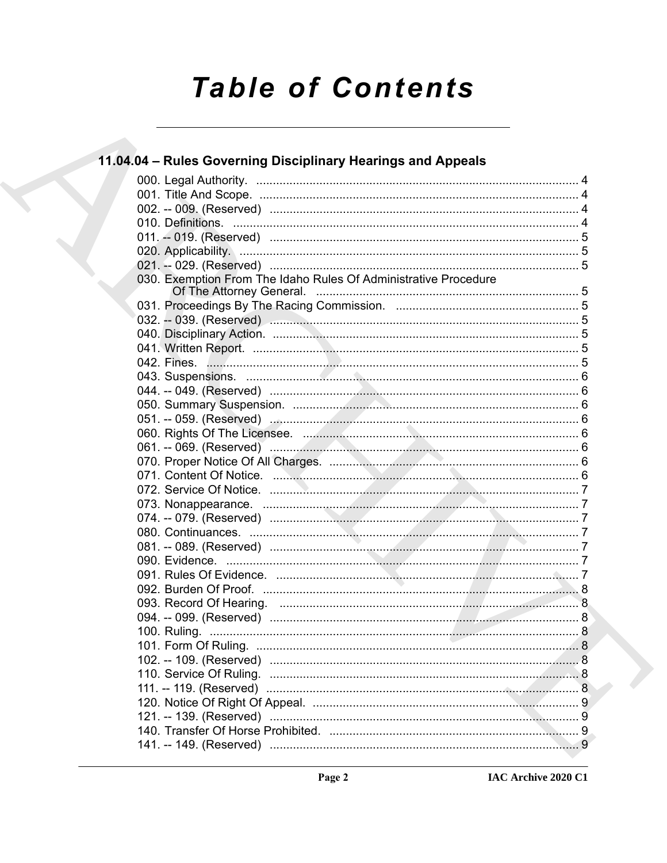# **Table of Contents**

| 11.04.04 – Rules Governing Disciplinary Hearings and Appeals    |  |
|-----------------------------------------------------------------|--|
|                                                                 |  |
|                                                                 |  |
|                                                                 |  |
|                                                                 |  |
|                                                                 |  |
|                                                                 |  |
|                                                                 |  |
| 030. Exemption From The Idaho Rules Of Administrative Procedure |  |
|                                                                 |  |
|                                                                 |  |
|                                                                 |  |
|                                                                 |  |
|                                                                 |  |
|                                                                 |  |
|                                                                 |  |
|                                                                 |  |
|                                                                 |  |
|                                                                 |  |
|                                                                 |  |
|                                                                 |  |
|                                                                 |  |
|                                                                 |  |
|                                                                 |  |
|                                                                 |  |
|                                                                 |  |
|                                                                 |  |
|                                                                 |  |
|                                                                 |  |
|                                                                 |  |
|                                                                 |  |
|                                                                 |  |
|                                                                 |  |
|                                                                 |  |
|                                                                 |  |
|                                                                 |  |
|                                                                 |  |
|                                                                 |  |
|                                                                 |  |
|                                                                 |  |
|                                                                 |  |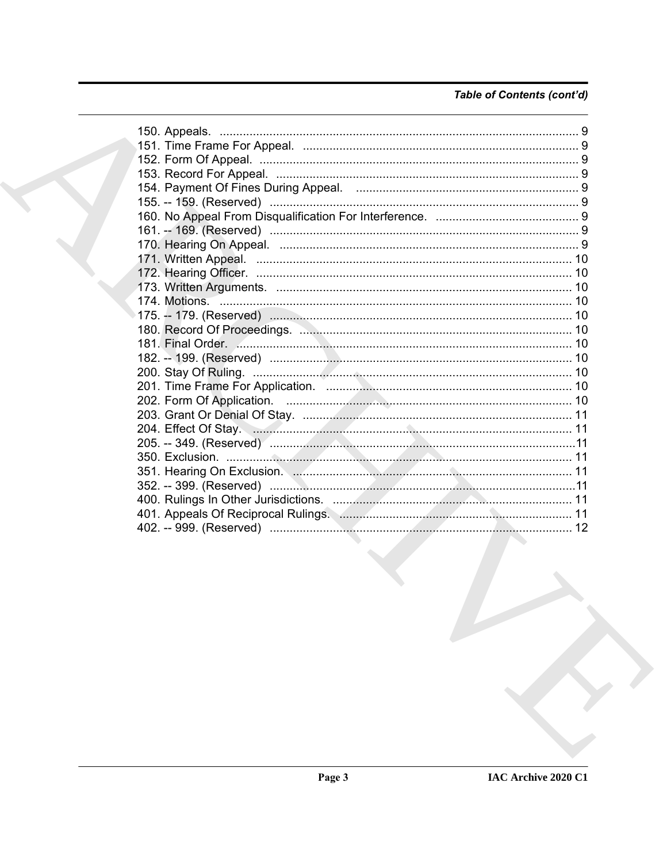# Table of Contents (cont'd)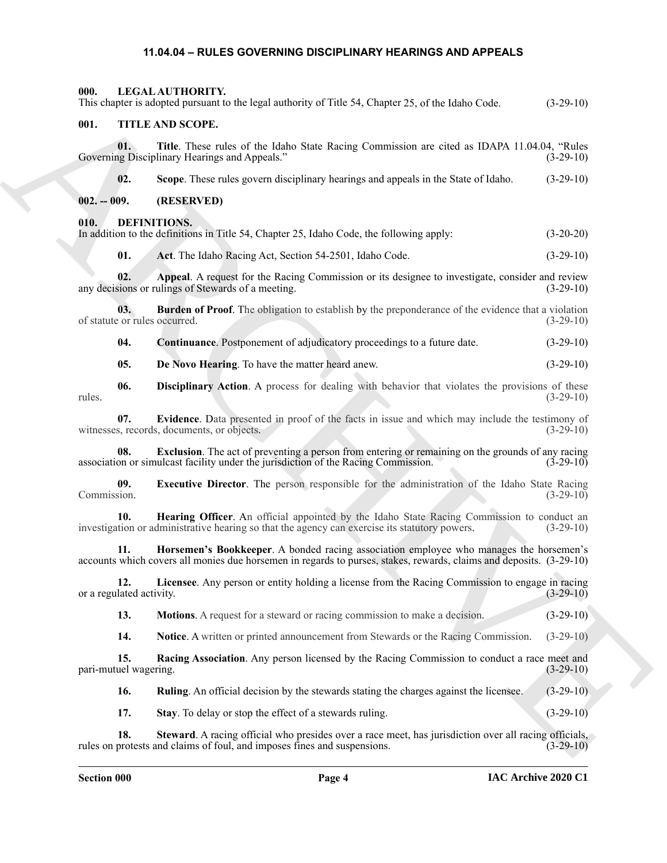## <span id="page-3-25"></span><span id="page-3-24"></span><span id="page-3-12"></span><span id="page-3-11"></span><span id="page-3-10"></span><span id="page-3-9"></span><span id="page-3-8"></span><span id="page-3-7"></span><span id="page-3-6"></span><span id="page-3-5"></span><span id="page-3-1"></span><span id="page-3-0"></span>**11.04.04 – RULES GOVERNING DISCIPLINARY HEARINGS AND APPEALS**

<span id="page-3-4"></span><span id="page-3-3"></span><span id="page-3-2"></span>

| 000.                                 | LEGAL AUTHORITY.                                                                                                                                                                                              |             |
|--------------------------------------|---------------------------------------------------------------------------------------------------------------------------------------------------------------------------------------------------------------|-------------|
|                                      | This chapter is adopted pursuant to the legal authority of Title 54, Chapter 25, of the Idaho Code.                                                                                                           | $(3-29-10)$ |
| 001.                                 | TITLE AND SCOPE.                                                                                                                                                                                              |             |
| 01.                                  | Title. These rules of the Idaho State Racing Commission are cited as IDAPA 11.04.04, "Rules<br>Governing Disciplinary Hearings and Appeals."                                                                  | $(3-29-10)$ |
| 02.                                  | Scope. These rules govern disciplinary hearings and appeals in the State of Idaho.                                                                                                                            | $(3-29-10)$ |
| $002. - 009.$                        | (RESERVED)                                                                                                                                                                                                    |             |
| 010.                                 | <b>DEFINITIONS.</b><br>In addition to the definitions in Title 54, Chapter 25, Idaho Code, the following apply:                                                                                               | $(3-20-20)$ |
| 01.                                  | Act. The Idaho Racing Act, Section 54-2501, Idaho Code.                                                                                                                                                       | $(3-29-10)$ |
| 02.                                  | Appeal. A request for the Racing Commission or its designee to investigate, consider and review<br>any decisions or rulings of Stewards of a meeting.                                                         | $(3-29-10)$ |
| 03.<br>of statute or rules occurred. | <b>Burden of Proof.</b> The obligation to establish by the preponderance of the evidence that a violation                                                                                                     | $(3-29-10)$ |
| 04.                                  | Continuance. Postponement of adjudicatory proceedings to a future date.                                                                                                                                       | $(3-29-10)$ |
| 05.                                  | De Novo Hearing. To have the matter heard anew.                                                                                                                                                               | $(3-29-10)$ |
| 06.<br>rules.                        | Disciplinary Action. A process for dealing with behavior that violates the provisions of these                                                                                                                | $(3-29-10)$ |
| 07.                                  | Evidence. Data presented in proof of the facts in issue and which may include the testimony of<br>witnesses, records, documents, or objects.                                                                  | $(3-29-10)$ |
| 08.                                  | <b>Exclusion</b> . The act of preventing a person from entering or remaining on the grounds of any racing<br>association or simulcast facility under the jurisdiction of the Racing Commission.               | $(3-29-10)$ |
| 09.<br>Commission.                   | <b>Executive Director.</b> The person responsible for the administration of the Idaho State Racing                                                                                                            | $(3-29-10)$ |
| 10.                                  | Hearing Officer. An official appointed by the Idaho State Racing Commission to conduct an<br>investigation or administrative hearing so that the agency can exercise its statutory powers.                    | $(3-29-10)$ |
| 11.                                  | Horsemen's Bookkeeper. A bonded racing association employee who manages the horsemen's<br>accounts which covers all monies due horsemen in regards to purses, stakes, rewards, claims and deposits. (3-29-10) |             |
| 12.<br>or a regulated activity.      | Licensee. Any person or entity holding a license from the Racing Commission to engage in racing                                                                                                               | $(3-29-10)$ |
| 13.                                  | Motions. A request for a steward or racing commission to make a decision.                                                                                                                                     | $(3-29-10)$ |
| 14.                                  | <b>Notice.</b> A written or printed announcement from Stewards or the Racing Commission.                                                                                                                      | $(3-29-10)$ |
| 15.<br>pari-mutuel wagering.         | Racing Association. Any person licensed by the Racing Commission to conduct a race meet and                                                                                                                   | $(3-29-10)$ |
| 16.                                  | <b>Ruling</b> . An official decision by the stewards stating the charges against the licensee.                                                                                                                | $(3-29-10)$ |
| 17.                                  | Stay. To delay or stop the effect of a stewards ruling.                                                                                                                                                       | $(3-29-10)$ |
| 18.                                  | Steward. A racing official who presides over a race meet, has jurisdiction over all racing officials,<br>rules on protests and claims of foul, and imposes fines and suspensions.                             | $(3-29-10)$ |

<span id="page-3-23"></span><span id="page-3-22"></span><span id="page-3-21"></span><span id="page-3-20"></span><span id="page-3-19"></span><span id="page-3-18"></span><span id="page-3-17"></span><span id="page-3-16"></span><span id="page-3-15"></span><span id="page-3-14"></span><span id="page-3-13"></span>**Section 000 Page 4**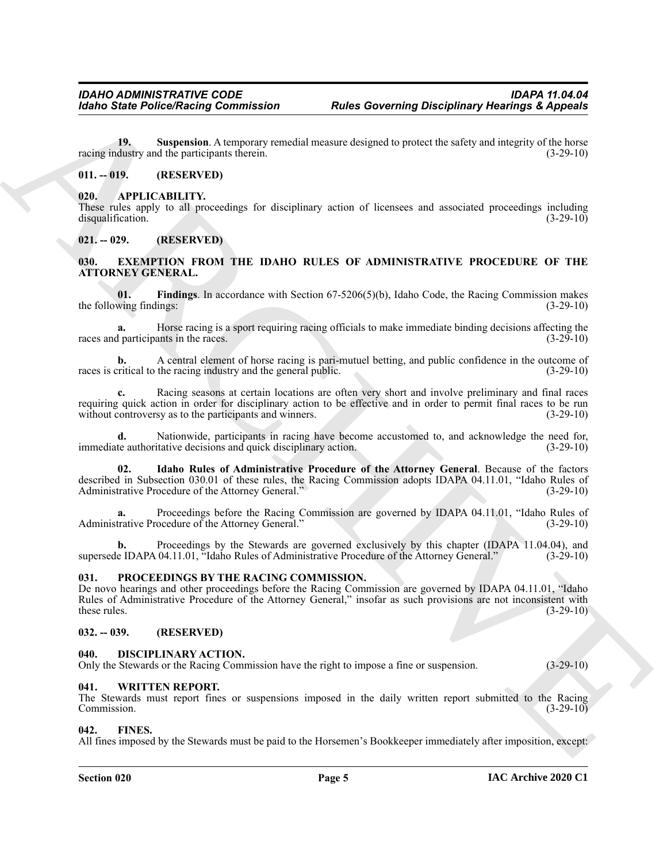<span id="page-4-10"></span>**19. Suspension**. A temporary remedial measure designed to protect the safety and integrity of the horse racing industry and the participants therein. (3-29-10)

#### <span id="page-4-0"></span>**011. -- 019. (RESERVED)**

#### <span id="page-4-9"></span><span id="page-4-1"></span>**020. APPLICABILITY.**

These rules apply to all proceedings for disciplinary action of licensees and associated proceedings including disqualification. (3-29-10)

#### <span id="page-4-2"></span>**021. -- 029. (RESERVED)**

#### <span id="page-4-12"></span><span id="page-4-3"></span>**030. EXEMPTION FROM THE IDAHO RULES OF ADMINISTRATIVE PROCEDURE OF THE ATTORNEY GENERAL.**

<span id="page-4-13"></span>**01.** Findings. In accordance with Section 67-5206(5)(b), Idaho Code, the Racing Commission makes wing findings: (3-29-10) the following findings:

**a.** Horse racing is a sport requiring racing officials to make immediate binding decisions affecting the races and participants in the races. (3-29-10)

**b.** A central element of horse racing is pari-mutuel betting, and public confidence in the outcome of ritical to the racing industry and the general public. (3-29-10) races is critical to the racing industry and the general public.

**c.** Racing seasons at certain locations are often very short and involve preliminary and final races requiring quick action in order for disciplinary action to be effective and in order to permit final races to be run without controversy as to the participants and winners. (3-29-10)

Nationwide, participants in racing have become accustomed to, and acknowledge the need for, immediate authoritative decisions and quick disciplinary action. (3-29-10)

<span id="page-4-14"></span>**02. Idaho Rules of Administrative Procedure of the Attorney General**. Because of the factors described in Subsection 030.01 of these rules, the Racing Commission adopts IDAPA 04.11.01, "Idaho Rules of Administrative Procedure of the Attorney General." (3-29-10)

**a.** Proceedings before the Racing Commission are governed by IDAPA 04.11.01, "Idaho Rules of Administrative Procedure of the Attorney General." (3-29-10)

Proceedings by the Stewards are governed exclusively by this chapter (IDAPA 11.04.04), and 04.11.01, "Idaho Rules of Administrative Procedure of the Attorney General." (3-29-10) supersede IDAPA 04.11.01, "Idaho Rules of Administrative Procedure of the Attorney General."

#### <span id="page-4-16"></span><span id="page-4-4"></span>**031. PROCEEDINGS BY THE RACING COMMISSION.**

Kohno Sinte Police/Neising Commission<br>
The Sovereign of Alegonia<br>
19. Superior Commission<br>
Comparison Actions (Alegonia Alegonia Alegonia (Alegonia Alegonia Comparison Action 2018)<br>
19. APPLICABLIFY.<br>
The Comparison of B De novo hearings and other proceedings before the Racing Commission are governed by IDAPA 04.11.01, "Idaho Rules of Administrative Procedure of the Attorney General," insofar as such provisions are not inconsistent with these rules. (3-29-10)

#### <span id="page-4-5"></span>**032. -- 039. (RESERVED)**

#### <span id="page-4-11"></span><span id="page-4-6"></span>**040. DISCIPLINARY ACTION.**

Only the Stewards or the Racing Commission have the right to impose a fine or suspension. (3-29-10)

#### <span id="page-4-17"></span><span id="page-4-7"></span>**041. WRITTEN REPORT.**

The Stewards must report fines or suspensions imposed in the daily written report submitted to the Racing Commission. (3-29-10) Commission. (3-29-10)

#### <span id="page-4-15"></span><span id="page-4-8"></span>**042. FINES.**

All fines imposed by the Stewards must be paid to the Horsemen's Bookkeeper immediately after imposition, except: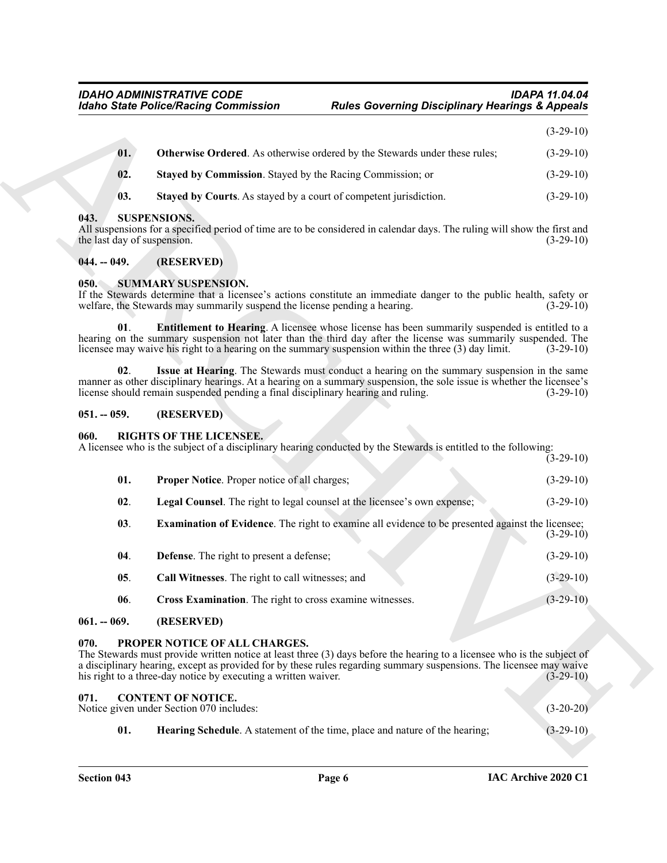<span id="page-5-12"></span><span id="page-5-11"></span><span id="page-5-10"></span>

| 01.            | <b>Otherwise Ordered.</b> As otherwise ordered by the Stewards under these rules; | $(3-29-10)$ |
|----------------|-----------------------------------------------------------------------------------|-------------|
| 02.            | <b>Staved by Commission.</b> Stayed by the Racing Commission; or                  | $(3-29-10)$ |
| $\mathbf{03.}$ | Stayed by Courts. As stayed by a court of competent jurisdiction.                 | $(3-29-10)$ |

#### <span id="page-5-24"></span><span id="page-5-0"></span>**043. SUSPENSIONS.**

#### <span id="page-5-1"></span>**044. -- 049. (RESERVED)**

#### <span id="page-5-22"></span><span id="page-5-21"></span><span id="page-5-2"></span>**050. SUMMARY SUSPENSION.**

#### <span id="page-5-23"></span><span id="page-5-3"></span>**051. -- 059. (RESERVED)**

## <span id="page-5-20"></span><span id="page-5-19"></span><span id="page-5-18"></span><span id="page-5-14"></span><span id="page-5-4"></span>**060. RIGHTS OF THE LICENSEE.**

|                                     | <b>Idaho State Police/Racing Commission</b>                                                              |                                                                                                                                                                                                                                                                                                                               | <b>Rules Governing Disciplinary Hearings &amp; Appeals</b>                                            |
|-------------------------------------|----------------------------------------------------------------------------------------------------------|-------------------------------------------------------------------------------------------------------------------------------------------------------------------------------------------------------------------------------------------------------------------------------------------------------------------------------|-------------------------------------------------------------------------------------------------------|
|                                     |                                                                                                          |                                                                                                                                                                                                                                                                                                                               | $(3-29-10)$                                                                                           |
| 01.                                 |                                                                                                          | <b>Otherwise Ordered.</b> As otherwise ordered by the Stewards under these rules;                                                                                                                                                                                                                                             | $(3-29-10)$                                                                                           |
| 02.                                 | Stayed by Commission. Stayed by the Racing Commission; or                                                |                                                                                                                                                                                                                                                                                                                               | $(3-29-10)$                                                                                           |
| 03.                                 | Stayed by Courts. As stayed by a court of competent jurisdiction.                                        |                                                                                                                                                                                                                                                                                                                               | $(3-29-10)$                                                                                           |
| 043.<br>the last day of suspension. | <b>SUSPENSIONS.</b>                                                                                      | All suspensions for a specified period of time are to be considered in calendar days. The ruling will show the first and                                                                                                                                                                                                      | $(3-29-10)$                                                                                           |
| $044. - 049.$                       | (RESERVED)                                                                                               |                                                                                                                                                                                                                                                                                                                               |                                                                                                       |
| 050.                                | <b>SUMMARY SUSPENSION.</b><br>welfare, the Stewards may summarily suspend the license pending a hearing. | If the Stewards determine that a licensee's actions constitute an immediate danger to the public health, safety or                                                                                                                                                                                                            | $(3-29-10)$                                                                                           |
| 01.                                 |                                                                                                          | <b>Entitlement to Hearing.</b> A licensee whose license has been summarily suspended is entitled to a<br>hearing on the summary suspension not later than the third day after the license was summarily suspended. The<br>licensee may waive his right to a hearing on the summary suspension within the three (3) day limit. | $(3-29-10)$                                                                                           |
| 02.                                 | license should remain suspended pending a final disciplinary hearing and ruling.                         | Issue at Hearing. The Stewards must conduct a hearing on the summary suspension in the same<br>manner as other disciplinary hearings. At a hearing on a summary suspension, the sole issue is whether the licensee's                                                                                                          | $(3-29-10)$                                                                                           |
| $051. - 059.$                       | (RESERVED)                                                                                               |                                                                                                                                                                                                                                                                                                                               |                                                                                                       |
| 060.                                | <b>RIGHTS OF THE LICENSEE.</b>                                                                           | A licensee who is the subject of a disciplinary hearing conducted by the Stewards is entitled to the following:                                                                                                                                                                                                               | $(3-29-10)$                                                                                           |
|                                     |                                                                                                          |                                                                                                                                                                                                                                                                                                                               |                                                                                                       |
| 01.                                 | <b>Proper Notice.</b> Proper notice of all charges;                                                      |                                                                                                                                                                                                                                                                                                                               |                                                                                                       |
| 02.                                 |                                                                                                          | Legal Counsel. The right to legal counsel at the licensee's own expense;                                                                                                                                                                                                                                                      |                                                                                                       |
| 03.                                 |                                                                                                          | <b>Examination of Evidence</b> . The right to examine all evidence to be presented against the licensee;                                                                                                                                                                                                                      |                                                                                                       |
| 04.                                 | <b>Defense</b> . The right to present a defense;                                                         |                                                                                                                                                                                                                                                                                                                               |                                                                                                       |
| 05.                                 | Call Witnesses. The right to call witnesses; and                                                         |                                                                                                                                                                                                                                                                                                                               |                                                                                                       |
| 06.                                 | Cross Examination. The right to cross examine witnesses.                                                 |                                                                                                                                                                                                                                                                                                                               | $(3-29-10)$                                                                                           |
| $061. - 069.$                       | (RESERVED)                                                                                               |                                                                                                                                                                                                                                                                                                                               |                                                                                                       |
| 070.                                | PROPER NOTICE OF ALL CHARGES.<br>his right to a three-day notice by executing a written waiver.          | The Stewards must provide written notice at least three (3) days before the hearing to a licensee who is the subject of<br>a disciplinary hearing, except as provided for by these rules regarding summary suspensions. The licensee may waive                                                                                |                                                                                                       |
| 071.                                | <b>CONTENT OF NOTICE.</b><br>Notice given under Section 070 includes:                                    |                                                                                                                                                                                                                                                                                                                               | $(3-29-10)$<br>$(3-29-10)$<br>$(3-29-10)$<br>$(3-29-10)$<br>$(3-29-10)$<br>$(3-29-10)$<br>$(3-20-20)$ |

#### <span id="page-5-17"></span><span id="page-5-16"></span><span id="page-5-15"></span><span id="page-5-13"></span><span id="page-5-6"></span><span id="page-5-5"></span>The Stewards must provide written notice at least three (3) days before the hearing to a licensee who is the subject of a disciplinary hearing, except as provided for by these rules regarding summary suspensions. The licensee may waive<br>his right to a three-day notice by executing a written waiver. (3-29-10) his right to a three-day notice by executing a written waiver.

<span id="page-5-9"></span><span id="page-5-8"></span><span id="page-5-7"></span>

| 071. |      | <b>CONTENT OF NOTICE.</b><br>Notice given under Section 070 includes:       | $(3-20-20)$ |
|------|------|-----------------------------------------------------------------------------|-------------|
|      | -01. | Hearing Schedule. A statement of the time, place and nature of the hearing; | $(3-29-10)$ |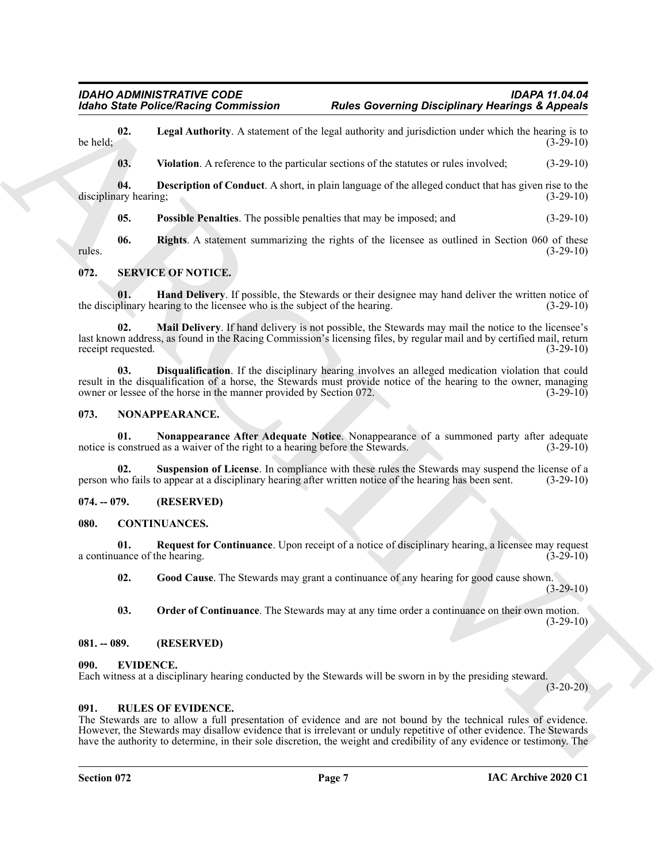**02.** Legal Authority. A statement of the legal authority and jurisdiction under which the hearing is to  $(3-29-10)$ be held;  $(3-29-10)$ 

<span id="page-6-11"></span><span id="page-6-8"></span><span id="page-6-7"></span>**03. Violation**. A reference to the particular sections of the statutes or rules involved; (3-29-10)

**04. Description of Conduct**. A short, in plain language of the alleged conduct that has given rise to the ary hearing: disciplinary hearing;

<span id="page-6-23"></span><span id="page-6-10"></span><span id="page-6-9"></span>**05. Possible Penalties**. The possible penalties that may be imposed; and (3-29-10)

**06.** Rights. A statement summarizing the rights of the licensee as outlined in Section 060 of these (3-29-10) rules. (3-29-10)

#### <span id="page-6-21"></span><span id="page-6-0"></span>**072. SERVICE OF NOTICE.**

**01. Hand Delivery**. If possible, the Stewards or their designee may hand deliver the written notice of plinary hearing to the licensee who is the subject of the hearing. (3-29-10) the disciplinary hearing to the licensee who is the subject of the hearing.

<span id="page-6-24"></span><span id="page-6-22"></span>**02. Mail Delivery**. If hand delivery is not possible, the Stewards may mail the notice to the licensee's last known address, as found in the Racing Commission's licensing files, by regular mail and by certified mail, return receipt requested. (3-29-10) receipt requested.

Mohol Sinte PoliceVictorian Gommitstics<br>
Police Governing Governing Disciplinary Postman is  $\frac{1}{2}$ <br>  $\frac{1}{2}$  Level Anthur A scheme with the level descendent scheme with the stationary of the stationary intervention c **03. Disqualification**. If the disciplinary hearing involves an alleged medication violation that could result in the disqualification of a horse, the Stewards must provide notice of the hearing to the owner, managing owner or lessee of the horse in the manner provided by Section 072. (3-29-10)

#### <span id="page-6-17"></span><span id="page-6-1"></span>**073. NONAPPEARANCE.**

<span id="page-6-18"></span>**01. Nonappearance After Adequate Notice**. Nonappearance of a summoned party after adequate notice is construed as a waiver of the right to a hearing before the Stewards. (3-29-10)

<span id="page-6-19"></span>**02. Suspension of License**. In compliance with these rules the Stewards may suspend the license of a person who fails to appear at a disciplinary hearing after written notice of the hearing has been sent. (3-29-10)

#### <span id="page-6-2"></span>**074. -- 079. (RESERVED)**

#### <span id="page-6-12"></span><span id="page-6-3"></span>**080. CONTINUANCES.**

**01. Request for Continuance**. Upon receipt of a notice of disciplinary hearing, a licensee may request a continuance of the hearing.

<span id="page-6-15"></span><span id="page-6-13"></span>**02. Good Cause**. The Stewards may grant a continuance of any hearing for good cause shown. (3-29-10)

<span id="page-6-14"></span>**03. Order of Continuance**. The Stewards may at any time order a continuance on their own motion. (3-29-10)

#### <span id="page-6-4"></span>**081. -- 089. (RESERVED)**

#### <span id="page-6-16"></span><span id="page-6-5"></span>**090. EVIDENCE.**

Each witness at a disciplinary hearing conducted by the Stewards will be sworn in by the presiding steward.

(3-20-20)

#### <span id="page-6-20"></span><span id="page-6-6"></span>**091. RULES OF EVIDENCE.**

The Stewards are to allow a full presentation of evidence and are not bound by the technical rules of evidence. However, the Stewards may disallow evidence that is irrelevant or unduly repetitive of other evidence. The Stewards have the authority to determine, in their sole discretion, the weight and credibility of any evidence or testimony. The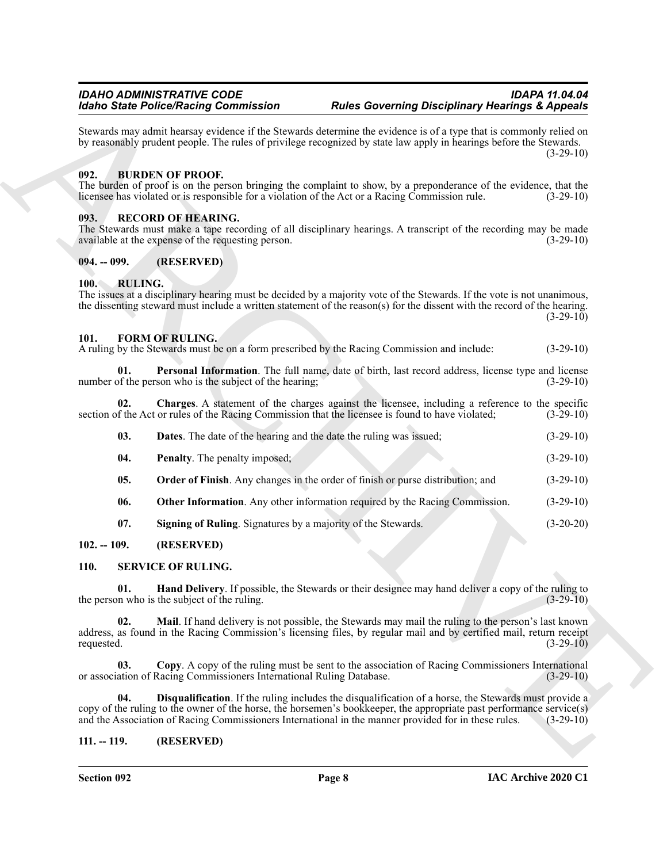Stewards may admit hearsay evidence if the Stewards determine the evidence is of a type that is commonly relied on by reasonably prudent people. The rules of privilege recognized by state law apply in hearings before the Stewards.  $(3-29-10)$ 

## <span id="page-7-8"></span><span id="page-7-0"></span>**092. BURDEN OF PROOF.**

The burden of proof is on the person bringing the complaint to show, by a preponderance of the evidence, that the licensee has violated or is responsible for a violation of the Act or a Racing Commission rule. (3-29-10) licensee has violated or is responsible for a violation of the Act or a Racing Commission rule.

#### <span id="page-7-17"></span><span id="page-7-1"></span>**093. RECORD OF HEARING.**

The Stewards must make a tape recording of all disciplinary hearings. A transcript of the recording may be made available at the expense of the requesting person. (3-29-10) available at the expense of the requesting person.

#### <span id="page-7-2"></span>**094. -- 099. (RESERVED)**

#### <span id="page-7-18"></span><span id="page-7-3"></span>**100. RULING.**

The issues at a disciplinary hearing must be decided by a majority vote of the Stewards. If the vote is not unanimous, the dissenting steward must include a written statement of the reason(s) for the dissent with the record of the hearing.  $(3-29-10)$ 

#### <span id="page-7-9"></span><span id="page-7-4"></span>**101. FORM OF RULING.**

A ruling by the Stewards must be on a form prescribed by the Racing Commission and include: (3-29-10)

<span id="page-7-15"></span>**01. Personal Information**. The full name, date of birth, last record address, license type and license number of the person who is the subject of the hearing; (3-29-10)

**02. Charges**. A statement of the charges against the licensee, including a reference to the specific section of the Act or rules of the Racing Commission that the licensee is found to have violated; (3-29-10)

<span id="page-7-14"></span><span id="page-7-11"></span><span id="page-7-10"></span>

| <b>Dates.</b> The date of the hearing and the date the ruling was issued; | $(3-29-10)$ |
|---------------------------------------------------------------------------|-------------|
| <b>Penalty.</b> The penalty imposed;                                      | $(3-29-10)$ |

- <span id="page-7-13"></span><span id="page-7-12"></span>**05. Order of Finish**. Any changes in the order of finish or purse distribution; and (3-29-10)
- **06. Other Information**. Any other information required by the Racing Commission. (3-29-10)
- <span id="page-7-22"></span><span id="page-7-19"></span><span id="page-7-16"></span>**07. Signing of Ruling**. Signatures by a majority of the Stewards. (3-20-20)

#### <span id="page-7-5"></span>**102. -- 109. (RESERVED)**

#### <span id="page-7-6"></span>**110. SERVICE OF RULING.**

**01. Hand Delivery**. If possible, the Stewards or their designee may hand deliver a copy of the ruling to n who is the subject of the ruling. the person who is the subject of the ruling.

<span id="page-7-23"></span>**02. Mail**. If hand delivery is not possible, the Stewards may mail the ruling to the person's last known address, as found in the Racing Commission's licensing files, by regular mail and by certified mail, return receipt requested.  $(3-29-10)$ 

<span id="page-7-21"></span><span id="page-7-20"></span>**03. Copy**. A copy of the ruling must be sent to the association of Racing Commissioners International or association of Racing Commissioners International Ruling Database. (3-29-10)

More Benefick the material continues the Shemala obtained Benefick of the More Control of the More Control of the More Control of the More Control of the More Control of the More Control of the More Control of the More Co **04. Disqualification**. If the ruling includes the disqualification of a horse, the Stewards must provide a copy of the ruling to the owner of the horse, the horsemen's bookkeeper, the appropriate past performance service(s) and the Association of Racing Commissioners International in the manner provided for in these rules. (3-2 and the Association of Racing Commissioners International in the manner provided for in these rules.

#### <span id="page-7-7"></span>**111. -- 119. (RESERVED)**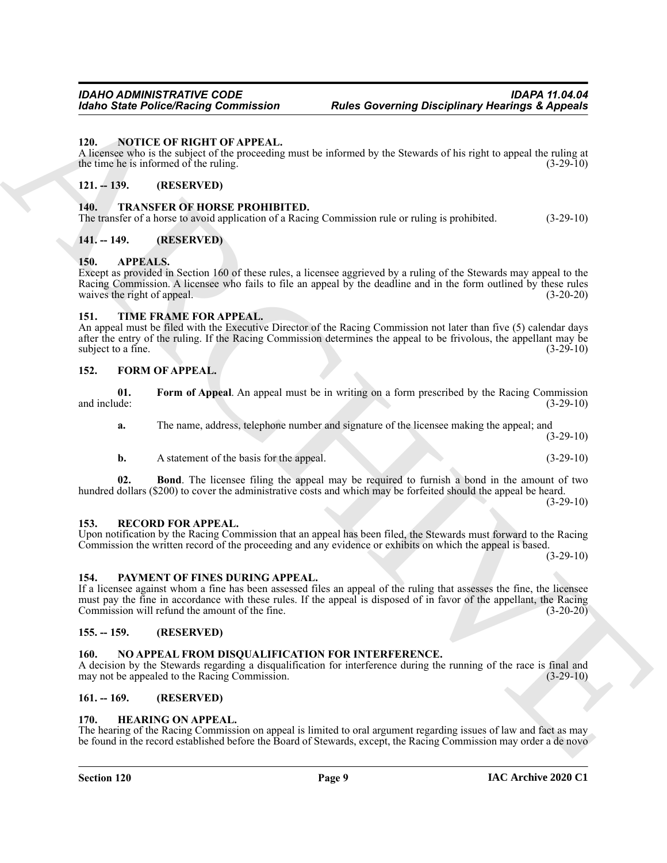#### <span id="page-8-19"></span><span id="page-8-0"></span>**120. NOTICE OF RIGHT OF APPEAL.**

A licensee who is the subject of the proceeding must be informed by the Stewards of his right to appeal the ruling at the time he is informed of the ruling.  $(3-29-10)$ 

### <span id="page-8-1"></span>**121. -- 139. (RESERVED)**

#### <span id="page-8-23"></span><span id="page-8-2"></span>**140. TRANSFER OF HORSE PROHIBITED.**

The transfer of a horse to avoid application of a Racing Commission rule or ruling is prohibited. (3-29-10)

#### <span id="page-8-3"></span>**141. -- 149. (RESERVED)**

#### <span id="page-8-13"></span><span id="page-8-4"></span>**150. APPEALS.**

Roles Sinte Police/Nacing Commission<br>
The Correlation of APPLEM.<br>
A monotonic transformation of the theoretical tensor is informating the Stewards of the sight support the sight of the state<br>
A monotonic transformation o Except as provided in Section 160 of these rules, a licensee aggrieved by a ruling of the Stewards may appeal to the Racing Commission. A licensee who fails to file an appeal by the deadline and in the form outlined by these rules waives the right of appeal. (3-20-20)

#### <span id="page-8-22"></span><span id="page-8-5"></span>**151. TIME FRAME FOR APPEAL.**

An appeal must be filed with the Executive Director of the Racing Commission not later than five (5) calendar days after the entry of the ruling. If the Racing Commission determines the appeal to be frivolous, the appellant may be subject to a fine. (3-29-10)

#### <span id="page-8-14"></span><span id="page-8-6"></span>**152. FORM OF APPEAL.**

|              |  | Form of Appeal. An appeal must be in writing on a form prescribed by the Racing Commission |
|--------------|--|--------------------------------------------------------------------------------------------|
| and include: |  | $(3-29-10)$                                                                                |
|              |  |                                                                                            |

<span id="page-8-16"></span>**a.** The name, address, telephone number and signature of the licensee making the appeal; and (3-29-10)

<span id="page-8-15"></span>**b.** A statement of the basis for the appeal. (3-29-10)

**02. Bond**. The licensee filing the appeal may be required to furnish a bond in the amount of two hundred dollars (\$200) to cover the administrative costs and which may be forfeited should the appeal be heard.  $(3-29-10)$ 

#### <span id="page-8-21"></span><span id="page-8-7"></span>**153. RECORD FOR APPEAL.**

#### Upon notification by the Racing Commission that an appeal has been filed, the Stewards must forward to the Racing Commission the written record of the proceeding and any evidence or exhibits on which the appeal is based.  $(3-29-10)$

#### <span id="page-8-20"></span><span id="page-8-8"></span>**154. PAYMENT OF FINES DURING APPEAL.**

If a licensee against whom a fine has been assessed files an appeal of the ruling that assesses the fine, the licensee must pay the fine in accordance with these rules. If the appeal is disposed of in favor of the appellant, the Racing Commission will refund the amount of the fine. (3-20-20)

#### <span id="page-8-18"></span><span id="page-8-9"></span>**155. -- 159. (RESERVED)**

#### <span id="page-8-10"></span>**160. NO APPEAL FROM DISQUALIFICATION FOR INTERFERENCE.**

A decision by the Stewards regarding a disqualification for interference during the running of the race is final and may not be appealed to the Racing Commission. (3-29-10)

### <span id="page-8-11"></span>**161. -- 169. (RESERVED)**

#### <span id="page-8-17"></span><span id="page-8-12"></span>**170. HEARING ON APPEAL.**

The hearing of the Racing Commission on appeal is limited to oral argument regarding issues of law and fact as may be found in the record established before the Board of Stewards, except, the Racing Commission may order a de novo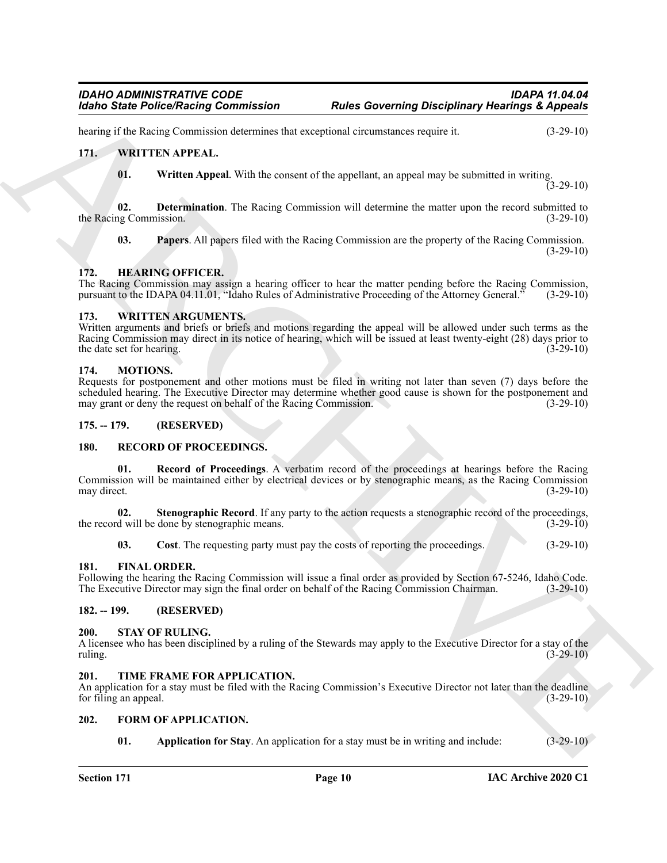hearing if the Racing Commission determines that exceptional circumstances require it. (3-29-10)

#### <span id="page-9-0"></span>**171. WRITTEN APPEAL.**

<span id="page-9-25"></span><span id="page-9-23"></span><span id="page-9-22"></span>**01. Written Appeal**. With the consent of the appellant, an appeal may be submitted in writing.  $(3-29-10)$ 

**02. Determination**. The Racing Commission will determine the matter upon the record submitted to the Racing Commission. (3-29-10)

<span id="page-9-24"></span><span id="page-9-14"></span>**03. Papers**. All papers filed with the Racing Commission are the property of the Racing Commission.  $(3-29-10)$ 

#### <span id="page-9-1"></span>**172. HEARING OFFICER.**

The Racing Commission may assign a hearing officer to hear the matter pending before the Racing Commission, pursuant to the IDAPA 04.11.01, "Idaho Rules of Administrative Proceeding of the Attorney General." (3-29-10)

#### <span id="page-9-26"></span><span id="page-9-2"></span>**173. WRITTEN ARGUMENTS.**

Written arguments and briefs or briefs and motions regarding the appeal will be allowed under such terms as the Racing Commission may direct in its notice of hearing, which will be issued at least twenty-eight (28) days prior to the date set for hearing. (3-29-10) (3-29-10)

#### <span id="page-9-15"></span><span id="page-9-3"></span>**174. MOTIONS.**

Requests for postponement and other motions must be filed in writing not later than seven (7) days before the scheduled hearing. The Executive Director may determine whether good cause is shown for the postponement and may grant or deny the request on behalf of the Racing Commission. (3-29-10) may grant or deny the request on behalf of the Racing Commission.

#### <span id="page-9-4"></span>**175. -- 179. (RESERVED)**

#### <span id="page-9-18"></span><span id="page-9-16"></span><span id="page-9-5"></span>**180. RECORD OF PROCEEDINGS.**

Known Static Police/Reison, Commutation Relief Governing Disciplinary Realings & Appendix<br>
Archives Results (1978). Witter Known Static Commutation Static Static Commutation Static Static Commutation<br>
17. Witter First AP **01. Record of Proceedings**. A verbatim record of the proceedings at hearings before the Racing Commission will be maintained either by electrical devices or by stenographic means, as the Racing Commission may direct. (3-29-10)

**02. Stenographic Record**. If any party to the action requests a stenographic record of the proceedings, the record will be done by stenographic means. (3-29-10)

<span id="page-9-19"></span><span id="page-9-17"></span><span id="page-9-11"></span>**03.** Cost. The requesting party must pay the costs of reporting the proceedings. (3-29-10)

#### <span id="page-9-6"></span>**181. FINAL ORDER.**

Following the hearing the Racing Commission will issue a final order as provided by Section 67-5246, Idaho Code. The Executive Director may sign the final order on behalf of the Racing Commission Chairman. (3-29-10)

#### <span id="page-9-20"></span><span id="page-9-7"></span>**182. -- 199. (RESERVED)**

#### <span id="page-9-8"></span>**200. STAY OF RULING.**

A licensee who has been disciplined by a ruling of the Stewards may apply to the Executive Director for a stay of the ruling. (3-29-10)

#### <span id="page-9-21"></span><span id="page-9-9"></span>**201. TIME FRAME FOR APPLICATION.**

An application for a stay must be filed with the Racing Commission's Executive Director not later than the deadline for filing an appeal.  $(3-29-10)$ 

#### <span id="page-9-10"></span>**202. FORM OF APPLICATION.**

<span id="page-9-13"></span><span id="page-9-12"></span>**01.** Application for Stay. An application for a stay must be in writing and include: (3-29-10)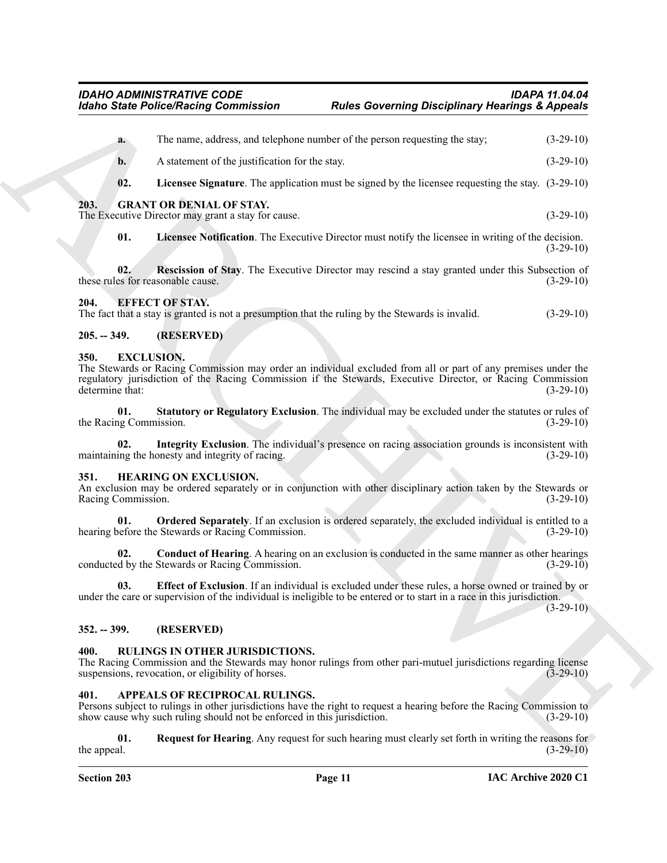<span id="page-10-14"></span><span id="page-10-0"></span>

| <b>Idaho State Police/Racing Commission</b> |                                                                                                                            | <b>Rules Governing Disciplinary Hearings &amp; Appeals</b>                                                                                                                                                                             |             |
|---------------------------------------------|----------------------------------------------------------------------------------------------------------------------------|----------------------------------------------------------------------------------------------------------------------------------------------------------------------------------------------------------------------------------------|-------------|
| a.                                          |                                                                                                                            | The name, address, and telephone number of the person requesting the stay;                                                                                                                                                             | $(3-29-10)$ |
| b.                                          | A statement of the justification for the stay.                                                                             |                                                                                                                                                                                                                                        | $(3-29-10)$ |
| 02.                                         |                                                                                                                            | Licensee Signature. The application must be signed by the licensee requesting the stay. (3-29-10)                                                                                                                                      |             |
| 203.                                        | <b>GRANT OR DENIAL OF STAY.</b><br>The Executive Director may grant a stay for cause.                                      |                                                                                                                                                                                                                                        | $(3-29-10)$ |
| 01.                                         |                                                                                                                            | Licensee Notification. The Executive Director must notify the licensee in writing of the decision.                                                                                                                                     | $(3-29-10)$ |
| 02.                                         | these rules for reasonable cause.                                                                                          | Rescission of Stay. The Executive Director may rescind a stay granted under this Subsection of                                                                                                                                         | $(3-29-10)$ |
| 204.                                        | <b>EFFECT OF STAY.</b><br>The fact that a stay is granted is not a presumption that the ruling by the Stewards is invalid. |                                                                                                                                                                                                                                        | $(3-29-10)$ |
| $205. - 349.$                               | (RESERVED)                                                                                                                 |                                                                                                                                                                                                                                        |             |
| 350.<br>determine that:                     | <b>EXCLUSION.</b>                                                                                                          | The Stewards or Racing Commission may order an individual excluded from all or part of any premises under the<br>regulatory jurisdiction of the Racing Commission if the Stewards, Executive Director, or Racing Commission            | $(3-29-10)$ |
| 01.<br>the Racing Commission.               |                                                                                                                            | Statutory or Regulatory Exclusion. The individual may be excluded under the statutes or rules of                                                                                                                                       | $(3-29-10)$ |
| 02.                                         | maintaining the honesty and integrity of racing.                                                                           | Integrity Exclusion. The individual's presence on racing association grounds is inconsistent with                                                                                                                                      | $(3-29-10)$ |
| 351.<br>Racing Commission.                  | <b>HEARING ON EXCLUSION.</b>                                                                                               | An exclusion may be ordered separately or in conjunction with other disciplinary action taken by the Stewards or                                                                                                                       | $(3-29-10)$ |
| 01.                                         | hearing before the Stewards or Racing Commission.                                                                          | Ordered Separately. If an exclusion is ordered separately, the excluded individual is entitled to a                                                                                                                                    | $(3-29-10)$ |
| 02.                                         | conducted by the Stewards or Racing Commission.                                                                            | Conduct of Hearing. A hearing on an exclusion is conducted in the same manner as other hearings                                                                                                                                        | $(3-29-10)$ |
| 03.                                         |                                                                                                                            | <b>Effect of Exclusion</b> . If an individual is excluded under these rules, a horse owned or trained by or<br>under the care or supervision of the individual is ineligible to be entered or to start in a race in this jurisdiction. | $(3-29-10)$ |
| $352. - 399.$                               | (RESERVED)                                                                                                                 |                                                                                                                                                                                                                                        |             |
| 400.                                        | <b>RULINGS IN OTHER JURISDICTIONS.</b><br>suspensions, revocation, or eligibility of horses.                               | The Racing Commission and the Stewards may honor rulings from other pari-mutuel jurisdictions regarding license                                                                                                                        | $(3-29-10)$ |
| 401.                                        | APPEALS OF RECIPROCAL RULINGS.<br>show cause why such ruling should not be enforced in this jurisdiction.                  | Persons subject to rulings in other jurisdictions have the right to request a hearing before the Racing Commission to                                                                                                                  | $(3-29-10)$ |
| 01.<br>the appeal.                          |                                                                                                                            | Request for Hearing. Any request for such hearing must clearly set forth in writing the reasons for                                                                                                                                    | $(3-29-10)$ |
|                                             |                                                                                                                            |                                                                                                                                                                                                                                        |             |

#### <span id="page-10-17"></span><span id="page-10-16"></span><span id="page-10-15"></span><span id="page-10-10"></span><span id="page-10-2"></span><span id="page-10-1"></span>**205. -- 349. (RESERVED)**

#### <span id="page-10-13"></span><span id="page-10-11"></span><span id="page-10-3"></span>**350. EXCLUSION.**

#### <span id="page-10-21"></span><span id="page-10-19"></span><span id="page-10-18"></span><span id="page-10-12"></span><span id="page-10-4"></span>**351. HEARING ON EXCLUSION.**

#### <span id="page-10-20"></span><span id="page-10-5"></span>**352. -- 399. (RESERVED)**

#### <span id="page-10-22"></span><span id="page-10-6"></span>**400. RULINGS IN OTHER JURISDICTIONS.**

# <span id="page-10-9"></span><span id="page-10-8"></span><span id="page-10-7"></span>**401. APPEALS OF RECIPROCAL RULINGS.**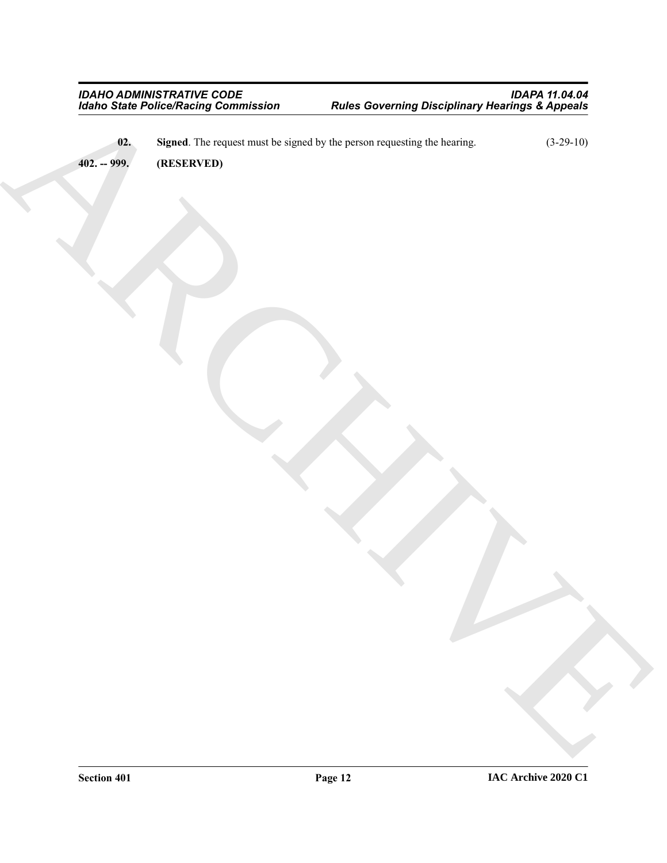Handi Saint Princettain Communes – Rute Communistan Disciplinary Meaning & Application<br>ARCHIVED – Handi The regional mass for signal by the power requestion de chemical<br>ARCHIVED – Handi The regional mass for signal by the **02.** Signed. The request must be signed by the person requesting the hearing. (3-29-10)

<span id="page-11-1"></span><span id="page-11-0"></span>**402. -- 999. (RESERVED)**